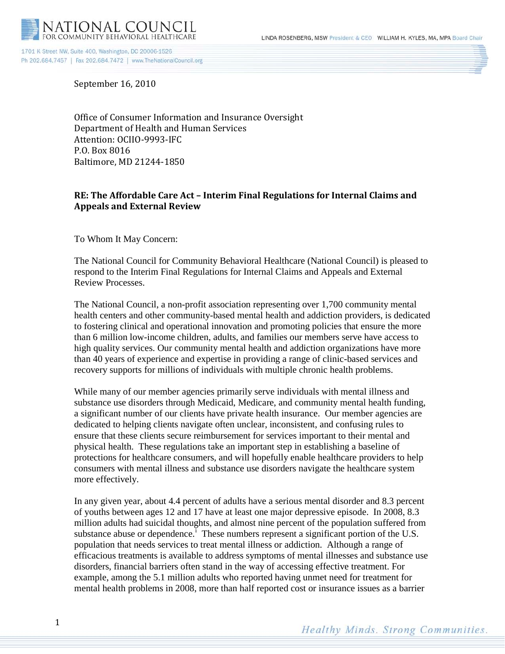

September 16, 2010

Office of Consumer Information and Insurance Oversight Department of Health and Human Services Attention: OCIIO-9993-IFC P.O. Box 8016 Baltimore, MD 21244-1850

# **RE: The Affordable Care Act – Interim Final Regulations for Internal Claims and Appeals and External Review**

To Whom It May Concern:

The National Council for Community Behavioral Healthcare (National Council) is pleased to respond to the Interim Final Regulations for Internal Claims and Appeals and External Review Processes.

The National Council, a non-profit association representing over 1,700 community mental health centers and other community-based mental health and addiction providers, is dedicated to fostering clinical and operational innovation and promoting policies that ensure the more than 6 million low-income children, adults, and families our members serve have access to high quality services. Our community mental health and addiction organizations have more than 40 years of experience and expertise in providing a range of clinic-based services and recovery supports for millions of individuals with multiple chronic health problems.

While many of our member agencies primarily serve individuals with mental illness and substance use disorders through Medicaid, Medicare, and community mental health funding, a significant number of our clients have private health insurance. Our member agencies are dedicated to helping clients navigate often unclear, inconsistent, and confusing rules to ensure that these clients secure reimbursement for services important to their mental and physical health. These regulations take an important step in establishing a baseline of protections for healthcare consumers, and will hopefully enable healthcare providers to help consumers with mental illness and substance use disorders navigate the healthcare system more effectively.

In any given year, about 4.4 percent of adults have a serious mental disorder and 8.3 percent of youths between ages 12 and 17 have at least one major depressive episode. In 2008, 8.3 million adults had suicidal thoughts, and almost nine percent of the population suffered from substance abuse or dependence.<sup> $1$ </sup> These numbers represent a s[i](#page-5-0)gnificant portion of the U.S. population that needs services to treat mental illness or addiction. Although a range of efficacious treatments is available to address symptoms of mental illnesses and substance use disorders, financial barriers often stand in the way of accessing effective treatment. For example, among the 5.1 million adults who reported having unmet need for treatment for mental health problems in 2008, more than half reported cost or insurance issues as a barrier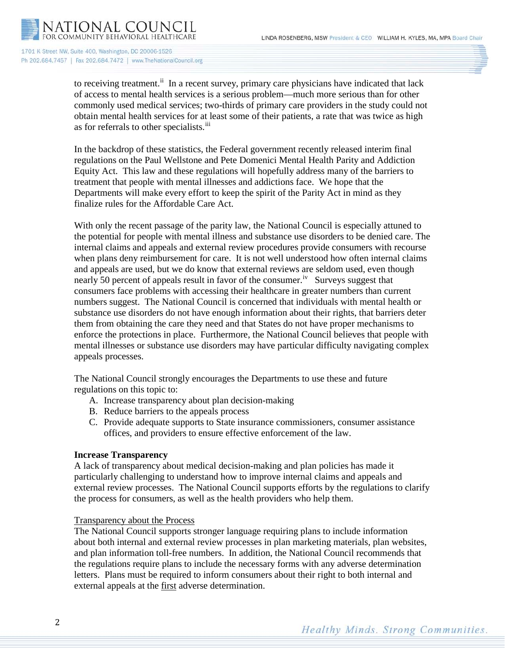

> to receiving treatment.<sup>[ii](#page-5-1)</sup> In a recent survey, primary care physicians have indicated that lack of access to mental health services is a serious problem—much more serious than for other commonly used medical services; two-thirds of primary care providers in the study could not obtain mental health services for at least some of their patients, a rate that was twice as high as for referrals to other specialists.<sup>[iii](#page-5-2)</sup>

In the backdrop of these statistics, the Federal government recently released interim final regulations on the Paul Wellstone and Pete Domenici Mental Health Parity and Addiction Equity Act. This law and these regulations will hopefully address many of the barriers to treatment that people with mental illnesses and addictions face. We hope that the Departments will make every effort to keep the spirit of the Parity Act in mind as they finalize rules for the Affordable Care Act.

With only the recent passage of the parity law, the National Council is especially attuned to the potential for people with mental illness and substance use disorders to be denied care. The internal claims and appeals and external review procedures provide consumers with recourse when plans deny reimbursement for care. It is not well understood how often internal claims and appeals are used, but we do know that external reviews are seldom used, even though nearly 50 percent of appeals result in favor of the consumer.<sup>[iv](#page-5-3)</sup> Surveys suggest that consumers face problems with accessing their healthcare in greater numbers than current numbers suggest. The National Council is concerned that individuals with mental health or substance use disorders do not have enough information about their rights, that barriers deter them from obtaining the care they need and that States do not have proper mechanisms to enforce the protections in place. Furthermore, the National Council believes that people with mental illnesses or substance use disorders may have particular difficulty navigating complex appeals processes.

The National Council strongly encourages the Departments to use these and future regulations on this topic to:

- A. Increase transparency about plan decision-making
- B. Reduce barriers to the appeals process
- C. Provide adequate supports to State insurance commissioners, consumer assistance offices, and providers to ensure effective enforcement of the law.

## **Increase Transparency**

A lack of transparency about medical decision-making and plan policies has made it particularly challenging to understand how to improve internal claims and appeals and external review processes. The National Council supports efforts by the regulations to clarify the process for consumers, as well as the health providers who help them.

## Transparency about the Process

The National Council supports stronger language requiring plans to include information about both internal and external review processes in plan marketing materials, plan websites, and plan information toll-free numbers. In addition, the National Council recommends that the regulations require plans to include the necessary forms with any adverse determination letters. Plans must be required to inform consumers about their right to both internal and external appeals at the **first** adverse determination.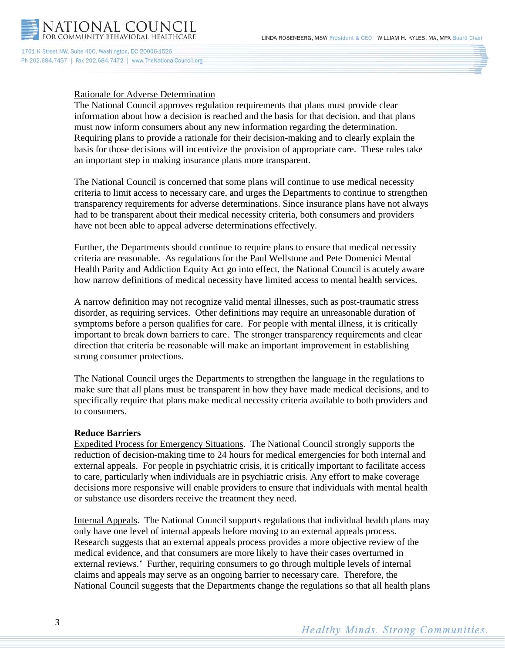

### Rationale for Adverse Determination

The National Council approves regulation requirements that plans must provide clear information about how a decision is reached and the basis for that decision, and that plans must now inform consumers about any new information regarding the determination. Requiring plans to provide a rationale for their decision-making and to clearly explain the basis for those decisions will incentivize the provision of appropriate care. These rules take an important step in making insurance plans more transparent.

The National Council is concerned that some plans will continue to use medical necessity criteria to limit access to necessary care, and urges the Departments to continue to strengthen transparency requirements for adverse determinations. Since insurance plans have not always had to be transparent about their medical necessity criteria, both consumers and providers have not been able to appeal adverse determinations effectively.

Further, the Departments should continue to require plans to ensure that medical necessity criteria are reasonable. As regulations for the Paul Wellstone and Pete Domenici Mental Health Parity and Addiction Equity Act go into effect, the National Council is acutely aware how narrow definitions of medical necessity have limited access to mental health services.

A narrow definition may not recognize valid mental illnesses, such as post-traumatic stress disorder, as requiring services. Other definitions may require an unreasonable duration of symptoms before a person qualifies for care. For people with mental illness, it is critically important to break down barriers to care. The stronger transparency requirements and clear direction that criteria be reasonable will make an important improvement in establishing strong consumer protections.

The National Council urges the Departments to strengthen the language in the regulations to make sure that all plans must be transparent in how they have made medical decisions, and to specifically require that plans make medical necessity criteria available to both providers and to consumers.

#### **Reduce Barriers**

Expedited Process for Emergency Situations. The National Council strongly supports the reduction of decision-making time to 24 hours for medical emergencies for both internal and external appeals. For people in psychiatric crisis, it is critically important to facilitate access to care, particularly when individuals are in psychiatric crisis. Any effort to make coverage decisions more responsive will enable providers to ensure that individuals with mental health or substance use disorders receive the treatment they need.

Internal Appeals. The National Council supports regulations that individual health plans may only have one level of internal appeals before moving to an external appeals process. Research suggests that an external appeals process provides a more objective review of the medical evidence, and that consumers are more likely to have their cases overturned in external re[v](#page-5-4)iews.<sup>V</sup> Further, requiring consumers to go through multiple levels of internal claims and appeals may serve as an ongoing barrier to necessary care. Therefore, the National Council suggests that the Departments change the regulations so that all health plans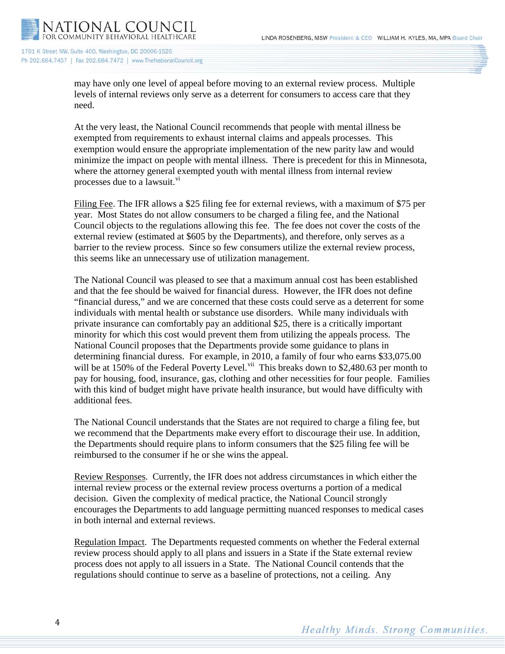

> may have only one level of appeal before moving to an external review process. Multiple levels of internal reviews only serve as a deterrent for consumers to access care that they need.

At the very least, the National Council recommends that people with mental illness be exempted from requirements to exhaust internal claims and appeals processes. This exemption would ensure the appropriate implementation of the new parity law and would minimize the impact on people with mental illness. There is precedent for this in Minnesota, where the attorney general exempted youth with mental illness from internal review processes due to a lawsuit.<sup>[vi](#page-5-5)</sup>

Filing Fee. The IFR allows a \$25 filing fee for external reviews, with a maximum of \$75 per year. Most States do not allow consumers to be charged a filing fee, and the National Council objects to the regulations allowing this fee. The fee does not cover the costs of the external review (estimated at \$605 by the Departments), and therefore, only serves as a barrier to the review process. Since so few consumers utilize the external review process, this seems like an unnecessary use of utilization management.

The National Council was pleased to see that a maximum annual cost has been established and that the fee should be waived for financial duress. However, the IFR does not define "financial duress," and we are concerned that these costs could serve as a deterrent for some individuals with mental health or substance use disorders. While many individuals with private insurance can comfortably pay an additional \$25, there is a critically important minority for which this cost would prevent them from utilizing the appeals process. The National Council proposes that the Departments provide some guidance to plans in determining financial duress. For example, in 2010, a family of four who earns \$33,075.00 will be at 150% of the Federal Poverty Level.<sup>[vii](#page-5-6)</sup> This breaks down to \$2,480.63 per month to pay for housing, food, insurance, gas, clothing and other necessities for four people. Families with this kind of budget might have private health insurance, but would have difficulty with additional fees.

The National Council understands that the States are not required to charge a filing fee, but we recommend that the Departments make every effort to discourage their use. In addition, the Departments should require plans to inform consumers that the \$25 filing fee will be reimbursed to the consumer if he or she wins the appeal.

Review Responses. Currently, the IFR does not address circumstances in which either the internal review process or the external review process overturns a portion of a medical decision. Given the complexity of medical practice, the National Council strongly encourages the Departments to add language permitting nuanced responses to medical cases in both internal and external reviews.

Regulation Impact. The Departments requested comments on whether the Federal external review process should apply to all plans and issuers in a State if the State external review process does not apply to all issuers in a State. The National Council contends that the regulations should continue to serve as a baseline of protections, not a ceiling. Any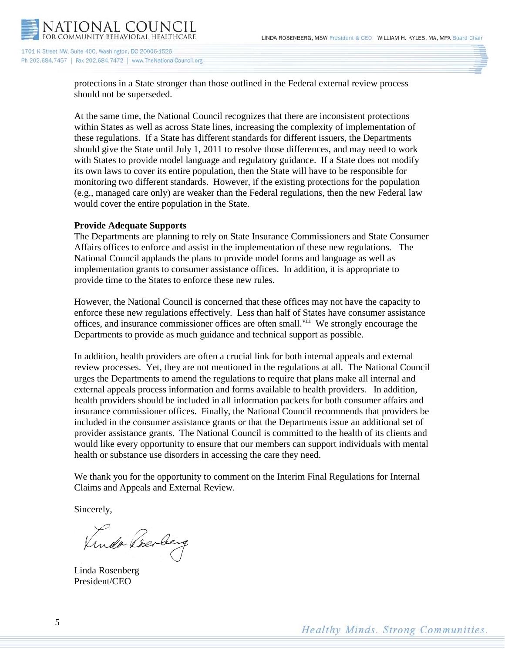

> protections in a State stronger than those outlined in the Federal external review process should not be superseded.

At the same time, the National Council recognizes that there are inconsistent protections within States as well as across State lines, increasing the complexity of implementation of these regulations. If a State has different standards for different issuers, the Departments should give the State until July 1, 2011 to resolve those differences, and may need to work with States to provide model language and regulatory guidance. If a State does not modify its own laws to cover its entire population, then the State will have to be responsible for monitoring two different standards. However, if the existing protections for the population (e.g., managed care only) are weaker than the Federal regulations, then the new Federal law would cover the entire population in the State.

### **Provide Adequate Supports**

The Departments are planning to rely on State Insurance Commissioners and State Consumer Affairs offices to enforce and assist in the implementation of these new regulations. The National Council applauds the plans to provide model forms and language as well as implementation grants to consumer assistance offices. In addition, it is appropriate to provide time to the States to enforce these new rules.

However, the National Council is concerned that these offices may not have the capacity to enforce these new regulations effectively. Less than half of States have consumer assistance offices, and insurance commissioner offices are often small.<sup>viii</sup> We strongly encourage the Departments to provide as much guidance and technical support as possible.

In addition, health providers are often a crucial link for both internal appeals and external review processes. Yet, they are not mentioned in the regulations at all. The National Council urges the Departments to amend the regulations to require that plans make all internal and external appeals process information and forms available to health providers. In addition, health providers should be included in all information packets for both consumer affairs and insurance commissioner offices. Finally, the National Council recommends that providers be included in the consumer assistance grants or that the Departments issue an additional set of provider assistance grants. The National Council is committed to the health of its clients and would like every opportunity to ensure that our members can support individuals with mental health or substance use disorders in accessing the care they need.

We thank you for the opportunity to comment on the Interim Final Regulations for Internal Claims and Appeals and External Review.

Sincerely,

Kindo Rosaley

Linda Rosenberg President/CEO